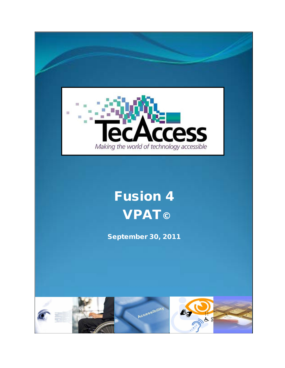

# Fusion 4 **VPAT**©

September 30, 2011

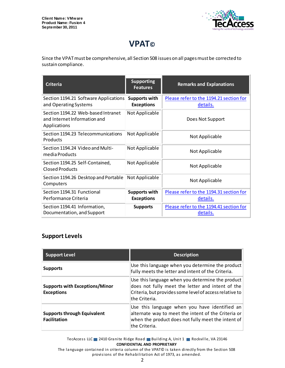

## **VPAT©**

Since the VPAT must be comprehensive, all Section 508 issues on all pages must be corrected to sustain compliance.

| <b>Criteria</b>                                                                    | <b>Supporting</b><br><b>Features</b>      | <b>Remarks and Explanations</b>                     |
|------------------------------------------------------------------------------------|-------------------------------------------|-----------------------------------------------------|
| Section 1194.21 Software Applications<br>and Operating Systems                     | Supports with<br><b>Exceptions</b>        | Please refer to the 1194.21 section for<br>details. |
| Section 1194.22 Web-based Intranet<br>and Internet Information and<br>Applications | Not Applicable                            | Does Not Support                                    |
| Section 1194.23 Telecommunications<br>Products                                     | Not Applicable                            | Not Applicable                                      |
| Section 1194.24 Video and Multi-<br>media Products                                 | Not Applicable                            | Not Applicable                                      |
| Section 1194.25 Self-Contained,<br><b>Closed Products</b>                          | Not Applicable                            | Not Applicable                                      |
| Section 1194.26 Desktop and Portable<br>Computers                                  | Not Applicable                            | Not Applicable                                      |
| Section 1194.31 Functional<br>Performance Criteria                                 | <b>Supports with</b><br><b>Exceptions</b> | Please refer to the 1194.31 section for<br>details. |
| Section 1194.41 Information,<br>Documentation, and Support                         | <b>Supports</b>                           | Please refer to the 1194.41 section for<br>details. |

#### **Support Levels**

| <b>Support Level</b>                                       | <b>Description</b>                                                                                                                                                               |
|------------------------------------------------------------|----------------------------------------------------------------------------------------------------------------------------------------------------------------------------------|
| <b>Supports</b>                                            | Use this language when you determine the product<br>fully meets the letter and intent of the Criteria.                                                                           |
| <b>Supports with Exceptions/Minor</b><br><b>Exceptions</b> | Use this language when you determine the product<br>does not fully meet the letter and intent of the<br>Criteria, but provides some level of access relative to<br>the Criteria. |
| <b>Supports through Equivalent</b><br><b>Facilitation</b>  | Use this language when you have identified an<br>alternate way to meet the intent of the Criteria or<br>when the product does not fully meet the intent of<br>lthe Criteria.     |

TecAccess LLC 2410 Granite Ridge Road Building A, Unit 1 Rockville, VA 23146 **CONFIDENTIAL AND PROPRIETARY**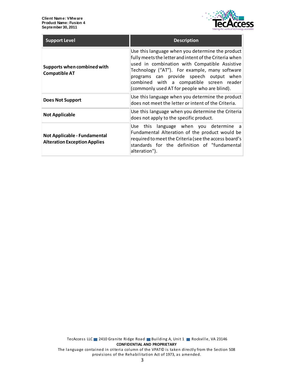

| <b>Support Level</b>                                                | <b>Description</b>                                                                                                                                                                                                                                                                                                                                  |
|---------------------------------------------------------------------|-----------------------------------------------------------------------------------------------------------------------------------------------------------------------------------------------------------------------------------------------------------------------------------------------------------------------------------------------------|
| Supports when combined with<br><b>Compatible AT</b>                 | Use this language when you determine the product<br>fully meets the letter and intent of the Criteria when<br>used in combination with Compatible Assistive<br>Technology ("AT"). For example, many software<br>programs can provide speech output when<br>combined with a compatible screen reader<br>(commonly used AT for people who are blind). |
| Does Not Support                                                    | Use this language when you determine the product<br>does not meet the letter or intent of the Criteria.                                                                                                                                                                                                                                             |
| <b>Not Applicable</b>                                               | Use this language when you determine the Criteria<br>does not apply to the specific product.                                                                                                                                                                                                                                                        |
| Not Applicable - Fundamental<br><b>Alteration Exception Applies</b> | Use this language when you determine a<br>Fundamental Alteration of the product would be<br>required to meet the Criteria (see the access board's<br>standards for the definition of "fundamental<br>alteration").                                                                                                                                  |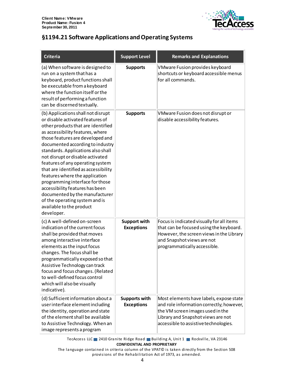

#### <span id="page-3-0"></span>**§1194.21 Software Applications and Operating Systems**

| <b>Criteria</b>                                                                                                                                                                                                                                                                                                                                                                                                                                                                                                                                                                                      | <b>Support Level</b>                      | <b>Remarks and Explanations</b>                                                                                                                                                                        |
|------------------------------------------------------------------------------------------------------------------------------------------------------------------------------------------------------------------------------------------------------------------------------------------------------------------------------------------------------------------------------------------------------------------------------------------------------------------------------------------------------------------------------------------------------------------------------------------------------|-------------------------------------------|--------------------------------------------------------------------------------------------------------------------------------------------------------------------------------------------------------|
| (a) When software is designed to<br>run on a system that has a<br>keyboard, product functions shall<br>be executable from a keyboard<br>where the function itself or the<br>result of performing a function<br>can be discerned textually.                                                                                                                                                                                                                                                                                                                                                           | <b>Supports</b>                           | VMware Fusion provides keyboard<br>shortcuts or keyboard accessible menus<br>for all commands.                                                                                                         |
| (b) Applications shall not disrupt<br>or disable activated features of<br>other products that are identified<br>as accessibility features, where<br>those features are developed and<br>documented according to industry<br>standards. Applications also shall<br>not disrupt or disable activated<br>features of any operating system<br>that are identified as accessibility<br>features where the application<br>programming interface for those<br>accessibility features has been<br>documented by the manufacturer<br>of the operating system and is<br>available to the product<br>developer. | <b>Supports</b>                           | VMware Fusion does not disrupt or<br>disable accessibility features.                                                                                                                                   |
| (c) A well-defined on-screen<br>indication of the current focus<br>shall be provided that moves<br>among interactive interface<br>elements as the input focus<br>changes. The focus shall be<br>programmatically exposed so that<br>Assistive Technology can track<br>focus and focus changes. (Related<br>to well-defined focus control<br>which will also be visually<br>indicative).                                                                                                                                                                                                              | <b>Support with</b><br><b>Exceptions</b>  | Focus is indicated visually for all items<br>that can be focused using the keyboard.<br>However, the screen views in the Library<br>and Snapshot views are not<br>programmatically accessible.         |
| (d) Sufficient information about a<br>user interface element including<br>the identity, operation and state<br>of the element shall be available<br>to Assistive Technology. When an<br>image represents a program                                                                                                                                                                                                                                                                                                                                                                                   | <b>Supports with</b><br><b>Exceptions</b> | Most elements have labels, expose state<br>and role information correctly; however,<br>the VM screen images used in the<br>Library and Snapshot views are not<br>accessible to assistive technologies. |

TecAccess LLC 2410 Granite Ridge Road Building A, Unit 1 Rockville, VA 23146 **CONFIDENTIAL AND PROPRIETARY**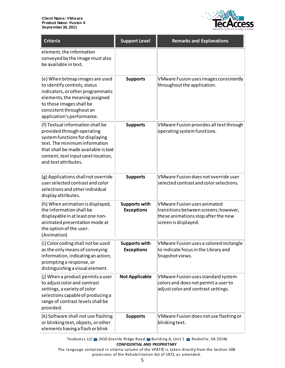

| <b>Criteria</b>                                                                                                                                                                                                                           | <b>Support Level</b>                      | <b>Remarks and Explanations</b>                                                                                                            |
|-------------------------------------------------------------------------------------------------------------------------------------------------------------------------------------------------------------------------------------------|-------------------------------------------|--------------------------------------------------------------------------------------------------------------------------------------------|
| element, the information<br>conveyed by the image must also<br>be available in text.                                                                                                                                                      |                                           |                                                                                                                                            |
| (e) When bitmap images are used<br>to identify controls, status<br>indicators, or other programmatic<br>elements, the meaning assigned<br>to those images shall be<br>consistent throughout an<br>application's performance.              | <b>Supports</b>                           | VMware Fusion uses images consistently<br>throughout the application.                                                                      |
| (f) Textual information shall be<br>provided through operating<br>system functions for displaying<br>text. The minimum information<br>that shall be made available is text<br>content, text input caret location,<br>and text attributes. | <b>Supports</b>                           | VMware Fusion provides all text through<br>operating system functions.                                                                     |
| (g) Applications shall not override<br>user selected contrast and color<br>selections and other individual<br>display attributes.                                                                                                         | <b>Supports</b>                           | VMware Fusion does not override user<br>selected contrast and color selections.                                                            |
| (h) When animation is displayed,<br>the information shall be<br>displayable in at least one non-<br>animated presentation mode at<br>the option of the user.<br>(Animation)                                                               | <b>Supports with</b><br><b>Exceptions</b> | <b>VMware Fusion uses animated</b><br>transitions between screens; however,<br>these animations stop after the new<br>screen is displayed. |
| (i) Color coding shall not be used<br>as the only means of conveying<br>information, indicating an action,<br>prompting a response, or<br>distinguishing a visual element.                                                                | <b>Supports with</b><br><b>Exceptions</b> | VMware Fusion uses a colored rectangle<br>to indicate focus in the Library and<br>Snapshot views.                                          |
| (j) When a product permits a user<br>to adjust color and contrast<br>settings, a variety of color<br>selections capable of producing a<br>range of contrast levels shall be<br>provided.                                                  | <b>Not Applicable</b>                     | VMware Fusion uses standard system<br>colors and does not permit a user to<br>adjust color and contrast settings.                          |
| (k) Software shall not use flashing<br>or blinking text, objects, or other<br>elements having a flash or blink                                                                                                                            | <b>Supports</b>                           | VMware Fusion does not use flashing or<br>blinking text.                                                                                   |

TecAccess LLC 2410 Granite Ridge Road Building A, Unit 1 Rockville, VA 23146 **CONFIDENTIAL AND PROPRIETARY**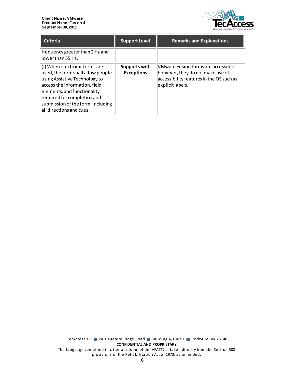

| Criteria                                                                                                                                                                                                                                                            | <b>Support Level</b>               | <b>Remarks and Explanations</b>                                                                                                         |
|---------------------------------------------------------------------------------------------------------------------------------------------------------------------------------------------------------------------------------------------------------------------|------------------------------------|-----------------------------------------------------------------------------------------------------------------------------------------|
| frequency greater than 2 Hz and<br>lowerthan 55 Hz.                                                                                                                                                                                                                 |                                    |                                                                                                                                         |
| (I) When electronic forms are<br>used, the form shall allow people<br>using Assistive Technology to<br>access the information, field<br>elements, and functionality<br>required for completion and<br>submission of the form, including<br>all directions and cues. | Supports with<br><b>Exceptions</b> | VMware Fusion forms are accessible;<br>however, they do not make use of<br>accessibility features in the OS such as<br>explicit labels. |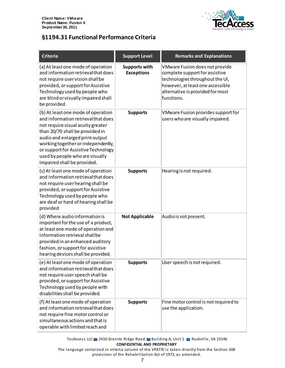

### <span id="page-6-0"></span>**§1194.31 Functional Performance Criteria**

| <b>Criteria</b>                                                                                                                                                                                                                                                                                                                     | <b>Support Level</b>                      | <b>Remarks and Explanations</b>                                                                                                                                                           |
|-------------------------------------------------------------------------------------------------------------------------------------------------------------------------------------------------------------------------------------------------------------------------------------------------------------------------------------|-------------------------------------------|-------------------------------------------------------------------------------------------------------------------------------------------------------------------------------------------|
| (a) At least one mode of operation<br>and information retrieval that does<br>not require user vision shall be<br>provided, or support for Assistive<br>Technology used by people who<br>are blind or visually impaired shall<br>be provided.                                                                                        | <b>Supports with</b><br><b>Exceptions</b> | VMware Fusion does not provide<br>complete support for assistive<br>technologies throughout the UI,<br>however, at least one accessible<br>alternative is provided for most<br>functions. |
| (b) At least one mode of operation<br>and information retrieval that does<br>not require visual acuity greater<br>than 20/70 shall be provided in<br>audio and enlarged print output<br>working together or independently,<br>or support for Assistive Technology<br>used by people who are visually<br>impaired shall be provided. | <b>Supports</b>                           | VMware Fusion provides support for<br>users who are visually impaired.                                                                                                                    |
| (c) At least one mode of operation<br>and information retrieval that does<br>not require user hearing shall be<br>provided, or support for Assistive<br>Technology used by people who<br>are deaf or hard of hearing shall be<br>provided                                                                                           | <b>Supports</b>                           | Hearing is not required.                                                                                                                                                                  |
| (d) Where audio information is<br>important for the use of a product,<br>at least one mode of operation and<br>information retrieval shall be<br>provided in an enhanced auditory<br>fashion, or support for assistive<br>hearing devices shall be provided.                                                                        | <b>Not Applicable</b>                     | Audio is not present.                                                                                                                                                                     |
| (e) At least one mode of operation<br>and information retrieval that does<br>not require user speech shall be<br>provided, or support for Assistive<br>Technology used by people with<br>disabilities shall be provided.                                                                                                            | <b>Supports</b>                           | User speech is not required.                                                                                                                                                              |
| (f) At least one mode of operation<br>and information retrieval that does<br>not require fine motor control or<br>simultaneous actions and that is<br>operable with limited reach and                                                                                                                                               | <b>Supports</b>                           | Fine motor control is not required to<br>use the application.                                                                                                                             |

TecAccess LLC 2410 Granite Ridge Road Building A, Unit 1 Rockville, VA 23146 **CONFIDENTIAL AND PROPRIETARY**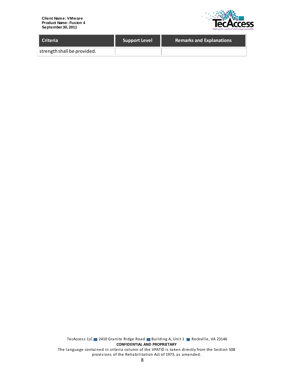**Client Name: VMware Product Name: Fusion 4 September 30, 2011**



| <b>Criteria</b>             | <b>Support Level</b> | <b>Remarks and Explanations</b> |
|-----------------------------|----------------------|---------------------------------|
| strength shall be provided. |                      |                                 |

TecAccess LLC 2410 Granite Ridge Road Building A, Unit 1 Rockville, VA 23146 **CONFIDENTIAL AND PROPRIETARY** The language contained in criteria column of the VPAT© is taken directly from the Section 508 provisions of the Rehabilitation Act of 1973, as amended.